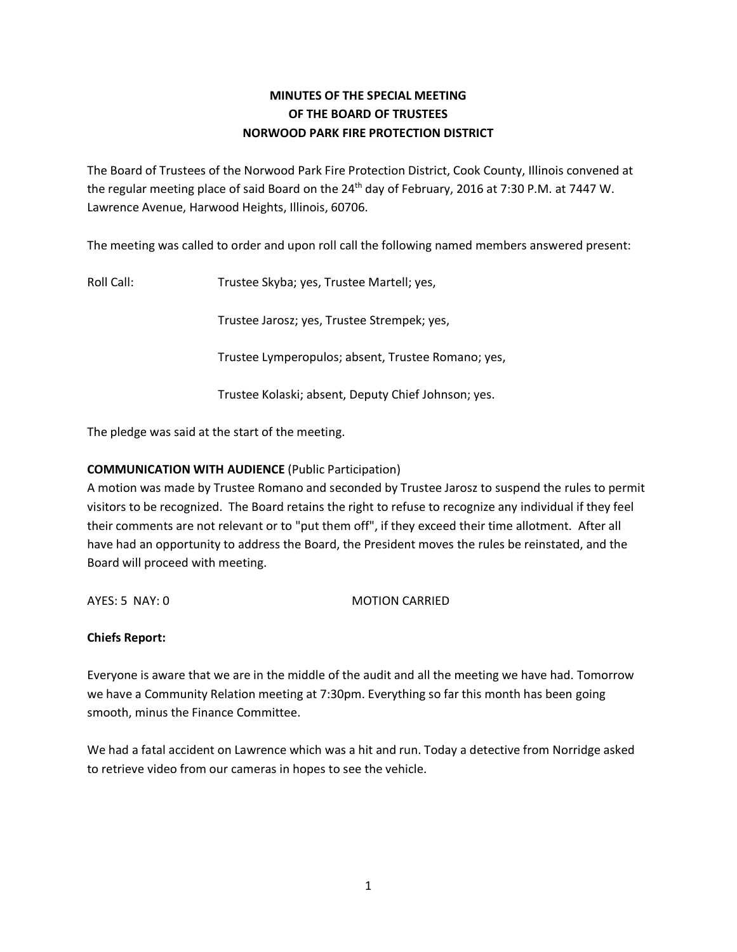# **MINUTES OF THE SPECIAL MEETING OF THE BOARD OF TRUSTEES NORWOOD PARK FIRE PROTECTION DISTRICT**

The Board of Trustees of the Norwood Park Fire Protection District, Cook County, Illinois convened at the regular meeting place of said Board on the 24<sup>th</sup> day of February, 2016 at 7:30 P.M. at 7447 W. Lawrence Avenue, Harwood Heights, Illinois, 60706.

The meeting was called to order and upon roll call the following named members answered present:

Roll Call: Trustee Skyba; yes, Trustee Martell; yes,

Trustee Jarosz; yes, Trustee Strempek; yes,

Trustee Lymperopulos; absent, Trustee Romano; yes,

Trustee Kolaski; absent, Deputy Chief Johnson; yes.

The pledge was said at the start of the meeting.

## **COMMUNICATION WITH AUDIENCE** (Public Participation)

A motion was made by Trustee Romano and seconded by Trustee Jarosz to suspend the rules to permit visitors to be recognized. The Board retains the right to refuse to recognize any individual if they feel their comments are not relevant or to "put them off", if they exceed their time allotment. After all have had an opportunity to address the Board, the President moves the rules be reinstated, and the Board will proceed with meeting.

AYES: 5 NAY: 0 MOTION CARRIED

#### **Chiefs Report:**

Everyone is aware that we are in the middle of the audit and all the meeting we have had. Tomorrow we have a Community Relation meeting at 7:30pm. Everything so far this month has been going smooth, minus the Finance Committee.

We had a fatal accident on Lawrence which was a hit and run. Today a detective from Norridge asked to retrieve video from our cameras in hopes to see the vehicle.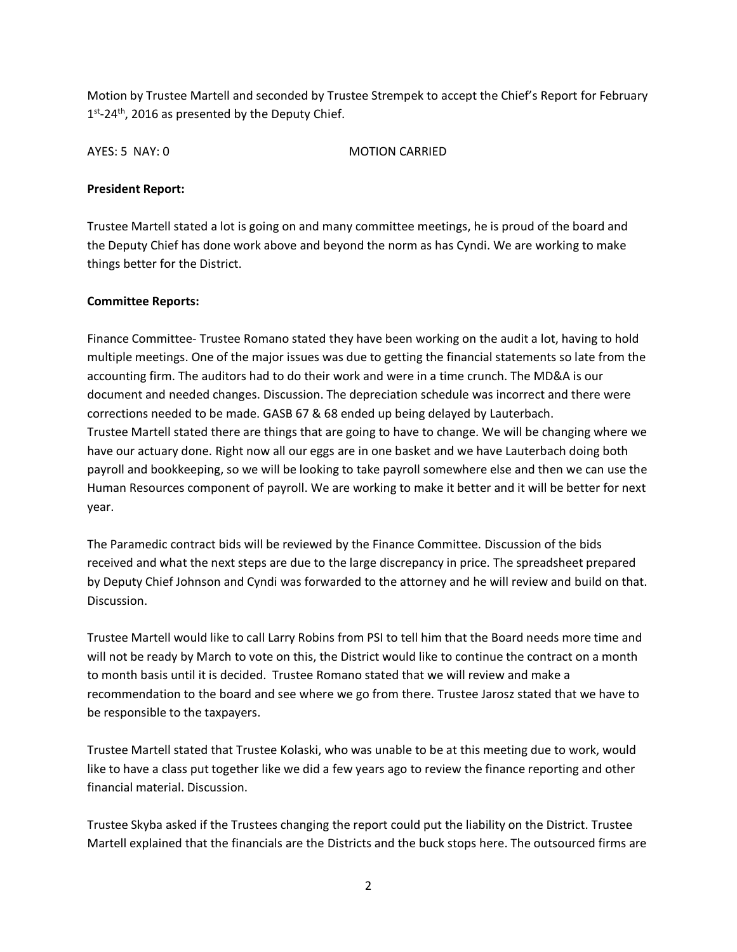Motion by Trustee Martell and seconded by Trustee Strempek to accept the Chief's Report for February  $1<sup>st</sup>$ -24<sup>th</sup>, 2016 as presented by the Deputy Chief.

AYES: 5 NAY: 0 MOTION CARRIED

#### **President Report:**

Trustee Martell stated a lot is going on and many committee meetings, he is proud of the board and the Deputy Chief has done work above and beyond the norm as has Cyndi. We are working to make things better for the District.

### **Committee Reports:**

Finance Committee- Trustee Romano stated they have been working on the audit a lot, having to hold multiple meetings. One of the major issues was due to getting the financial statements so late from the accounting firm. The auditors had to do their work and were in a time crunch. The MD&A is our document and needed changes. Discussion. The depreciation schedule was incorrect and there were corrections needed to be made. GASB 67 & 68 ended up being delayed by Lauterbach. Trustee Martell stated there are things that are going to have to change. We will be changing where we have our actuary done. Right now all our eggs are in one basket and we have Lauterbach doing both payroll and bookkeeping, so we will be looking to take payroll somewhere else and then we can use the Human Resources component of payroll. We are working to make it better and it will be better for next year.

The Paramedic contract bids will be reviewed by the Finance Committee. Discussion of the bids received and what the next steps are due to the large discrepancy in price. The spreadsheet prepared by Deputy Chief Johnson and Cyndi was forwarded to the attorney and he will review and build on that. Discussion.

Trustee Martell would like to call Larry Robins from PSI to tell him that the Board needs more time and will not be ready by March to vote on this, the District would like to continue the contract on a month to month basis until it is decided. Trustee Romano stated that we will review and make a recommendation to the board and see where we go from there. Trustee Jarosz stated that we have to be responsible to the taxpayers.

Trustee Martell stated that Trustee Kolaski, who was unable to be at this meeting due to work, would like to have a class put together like we did a few years ago to review the finance reporting and other financial material. Discussion.

Trustee Skyba asked if the Trustees changing the report could put the liability on the District. Trustee Martell explained that the financials are the Districts and the buck stops here. The outsourced firms are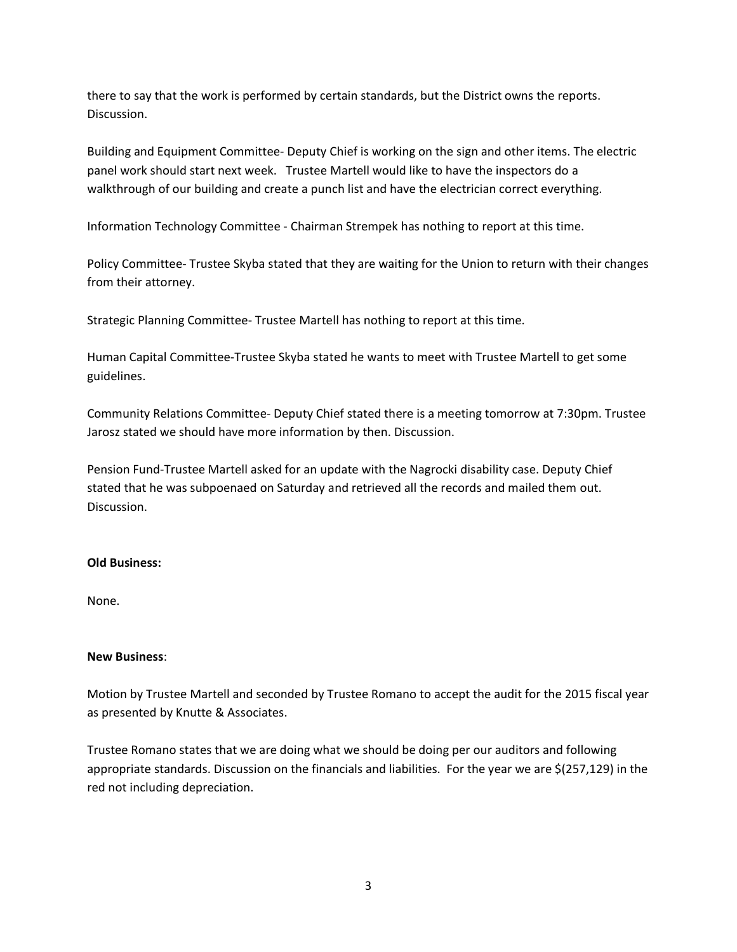there to say that the work is performed by certain standards, but the District owns the reports. Discussion.

Building and Equipment Committee- Deputy Chief is working on the sign and other items. The electric panel work should start next week. Trustee Martell would like to have the inspectors do a walkthrough of our building and create a punch list and have the electrician correct everything.

Information Technology Committee - Chairman Strempek has nothing to report at this time.

Policy Committee- Trustee Skyba stated that they are waiting for the Union to return with their changes from their attorney.

Strategic Planning Committee- Trustee Martell has nothing to report at this time.

Human Capital Committee-Trustee Skyba stated he wants to meet with Trustee Martell to get some guidelines.

Community Relations Committee- Deputy Chief stated there is a meeting tomorrow at 7:30pm. Trustee Jarosz stated we should have more information by then. Discussion.

Pension Fund-Trustee Martell asked for an update with the Nagrocki disability case. Deputy Chief stated that he was subpoenaed on Saturday and retrieved all the records and mailed them out. Discussion.

#### **Old Business:**

None.

#### **New Business**:

Motion by Trustee Martell and seconded by Trustee Romano to accept the audit for the 2015 fiscal year as presented by Knutte & Associates.

Trustee Romano states that we are doing what we should be doing per our auditors and following appropriate standards. Discussion on the financials and liabilities. For the year we are \$(257,129) in the red not including depreciation.